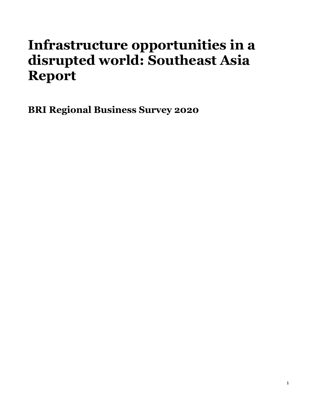# **Infrastructure opportunities in a disrupted world: Southeast Asia Report**

**BRI Regional Business Survey 2020**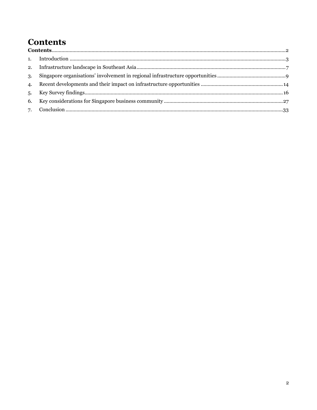# **Contents**

<span id="page-1-0"></span>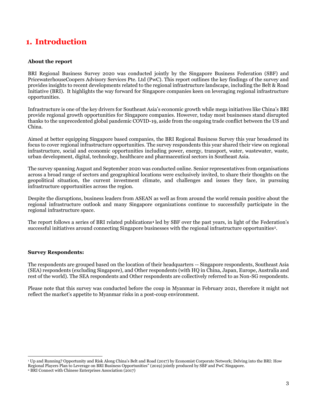# <span id="page-2-0"></span>**1. Introduction**

#### **About the report**

BRI Regional Business Survey 2020 was conducted jointly by the Singapore Business Federation (SBF) and PricewaterhouseCoopers Advisory Services Pte. Ltd (PwC). This report outlines the key findings of the survey and provides insights to recent developments related to the regional infrastructure landscape, including the Belt & Road Initiative (BRI). It highlights the way forward for Singapore companies keen on leveraging regional infrastructure opportunities.

Infrastructure is one of the key drivers for Southeast Asia's economic growth while mega initiatives like China's BRI provide regional growth opportunities for Singapore companies. However, today most businesses stand disrupted thanks to the unprecedented global pandemic COVID-19, aside from the ongoing trade conflict between the US and China.

Aimed at better equipping Singapore based companies, the BRI Regional Business Survey this year broadened its focus to cover regional infrastructure opportunities. The survey respondents this year shared their view on regional infrastructure, social and economic opportunities including power, energy, transport, water, wastewater, waste, urban development, digital, technology, healthcare and pharmaceutical sectors in Southeast Asia.

The survey spanning August and September 2020 was conducted online. Senior representatives from organisations across a broad range of sectors and geographical locations were exclusively invited, to share their thoughts on the geopolitical situation, the current investment climate, and challenges and issues they face, in pursuing infrastructure opportunities across the region.

Despite the disruptions, business leaders from ASEAN as well as from around the world remain positive about the regional infrastructure outlook and many Singapore organizations continue to successfully participate in the regional infrastructure space.

The report follows a series of BRI related publications**<sup>1</sup>** led by SBF over the past years, in light of the Federation's successful initiatives around connecting Singapore businesses with the regional infrastructure opportunities<sup>2</sup>.

#### **Survey Respondents:**

The respondents are grouped based on the location of their headquarters -- Singapore respondents, Southeast Asia (SEA) respondents (excluding Singapore), and Other respondents (with HQ in China, Japan, Europe, Australia and rest of the world). The SEA respondents and Other respondents are collectively referred to as Non-SG respondents.

Please note that this survey was conducted before the coup in Myanmar in February 2021, therefore it might not reflect the market's appetite to Myanmar risks in a post-coup environment.

<sup>1</sup> Up and Running? Opportunity and Risk Along China's Belt and Road (2017) by Economist Corporate Network; Delving into the BRI: How Regional Players Plan to Leverage on BRI Business Opportunities" (2019) jointly produced by SBF and PwC Singapore.

<sup>2</sup> BRI Connect with Chinese Enterprises Association (2017)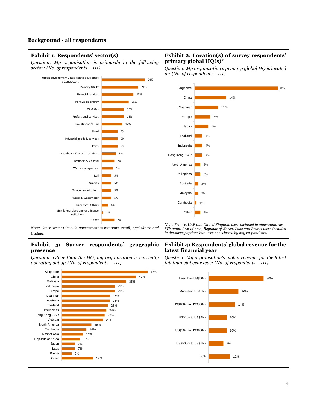### **Background - all respondents**

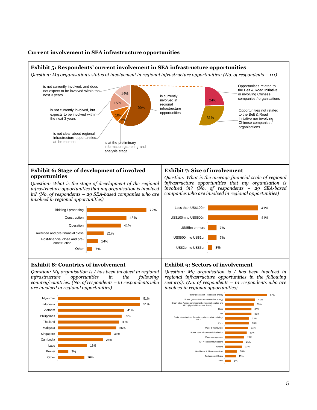#### **Current involvement in SEA infrastructure opportunities**

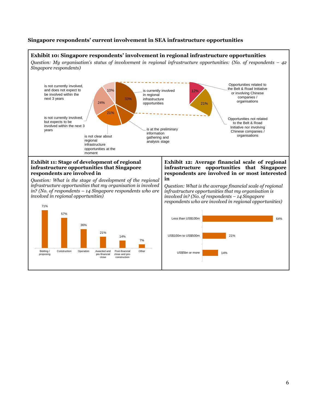### **Singapore respondents' current involvement in SEA infrastructure opportunities**

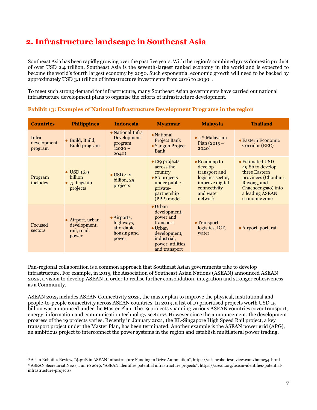# <span id="page-6-0"></span>**2. Infrastructure landscape in Southeast Asia**

Southeast Asia has been rapidly growing over the past five years. With the region's combined gross domestic product of over USD 2.4 trillion, Southeast Asia is the seventh-largest ranked economy in the world and is expected to become the world's fourth largest economy by 2050. Such exponential economic growth will need to be backed by approximately USD 3.1 trillion of infrastructure investments from 2016 to 20303.

To meet such strong demand for infrastructure, many Southeast Asian governments have carried out national infrastructure development plans to organise the efforts of infrastructure development.

| <b>Countries</b>                | <b>Philippines</b>                                                        | <b>Indonesia</b>                                                       | <b>Myanmar</b>                                                                                                                                   | <b>Malaysia</b>                                                                                                          | <b>Thailand</b>                                                                                                                                       |
|---------------------------------|---------------------------------------------------------------------------|------------------------------------------------------------------------|--------------------------------------------------------------------------------------------------------------------------------------------------|--------------------------------------------------------------------------------------------------------------------------|-------------------------------------------------------------------------------------------------------------------------------------------------------|
| Infra<br>development<br>program | • Build, Build,<br>Build program                                          | • National Infra<br>Development<br>program<br>$(2020 -$<br>2040)       | • National<br><b>Project Bank</b><br>• Yangon Project<br>Bank                                                                                    | $\bullet$ 11 <sup>th</sup> Malaysian<br>Plan $(2015 -$<br>2020)                                                          | $\bullet$ Eastern Economic<br>Corridor (EEC)                                                                                                          |
| Program<br>includes             | $\bullet$ USD 16.9<br><b>billion</b><br>$\bullet$ 75 flagship<br>projects | $\bullet$ USD 412<br>billion, 25<br>projects                           | $\bullet$ 129 projects<br>across the<br>country<br>• 80 projects<br>under public-<br>private-<br>partnership<br>(PPP) model                      | • Roadmap to<br>develop<br>transport and<br>logistics sector,<br>improve digital<br>connectivity<br>and water<br>network | • Estimated USD<br>49.8b to develop<br>three Eastern<br>provinces (Chonburi,<br>Rayong, and<br>Chachoengsao) into<br>a leading ASEAN<br>economic zone |
| Focused<br>sectors              | • Airport, urban<br>development,<br>rail, road,<br>power                  | $\bullet$ Airports,<br>highways,<br>affordable<br>housing and<br>power | $\bullet$ Urban<br>development,<br>power and<br>transport<br>$\bullet$ Urban<br>development,<br>industrial,<br>power, utilities<br>and transport | • Transport,<br>logistics, ICT,<br>water                                                                                 | • Airport, port, rail                                                                                                                                 |

| Exhibit 13: Examples of National Infrastructure Development Programs in the region |  |  |
|------------------------------------------------------------------------------------|--|--|
|                                                                                    |  |  |

Pan-regional collaboration is a common approach that Southeast Asian governments take to develop infrastructure. For example, in 2015, the Association of Southeast Asian Nations (ASEAN) announced ASEAN 2025, a vision to develop ASEAN in order to realise further consolidation, integration and stronger cohesiveness as a Community.

ASEAN 2025 includes ASEAN Connectivity 2025, the master plan to improve the physical, institutional and people-to-people connectivity across ASEAN countries. In 2019, a list of 19 prioritised projects worth USD 15 billion was announced under the Master Plan. The 19 projects spanning various ASEAN countries cover transport, energy, information and communication technology sectors4. However since the announcement, the development progress of the 19 projects varies. Recently in January 2021, the KL-Singapore High Speed Rail project, a key transport project under the Master Plan, has been terminated. Another example is the ASEAN power grid (APG), an ambitious project to interconnect the power systems in the region and establish multilateral power trading.

<sup>3</sup> Asian Robotics Review, "\$321B in ASEAN Infrastructure Funding to Drive Automation", https://asianroboticsreview.com/home54-html <sup>4</sup> ASEAN Secretariat News, Jun 10 2019, "ASEAN identifies potential infrastructure projects", https://asean.org/asean-identifies-potentialinfrastructure-projects/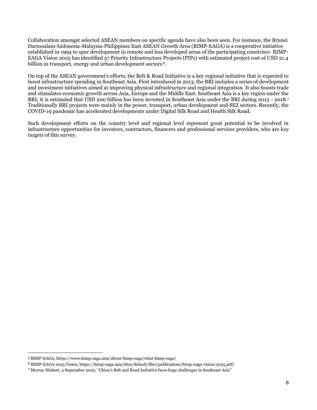Collaboration amongst selected ASEAN members on specific agenda have also been seen. For instance, the Brunei Darussalam-Indonesia-Malaysia-Philippines East ASEAN Growth Area (BIMP-EAGA) is a cooperative initiative established in 1994 to spur development in remote and less developed areas of the participating countries5. BIMP-EAGA Vision 2025 has identified 57 Priority Infrastructure Projects (PIPs) with estimated project cost of USD 21.4 billion in transport, energy and urban development sectors<sup>6</sup>.

On top of the ASEAN government's efforts, the Belt & Road Initiative is a key regional initiative that is expected to boost infrastructure spending in Southeast Asia. First introduced in 2013, the BRI includes a series of development and investment initiatives aimed at improving physical infrastructure and regional integration. It also boosts trade and stimulates economic growth across Asia, Europe and the Middle East. Southeast Asia is a key region under the BRI; it is estimated that USD 200 billion has been invested in Southeast Asia under the BRI during 2013 - 2018.<sup>7</sup> Traditionally BRI projects were mainly in the power, transport, urban development and SEZ sectors. Recently, the COVID-19 pandemic has accelerated developments under Digital Silk Road and Health Silk Road.

Such development efforts on the country level and regional level represent great potential to be involved in infrastructure opportunities for investors, contractors, financers and professional services providers, who are key targets of this survey.

<sup>5</sup> BIMP-EAGA, https://www.bimp-eaga.asia/about-bimp-eaga/what-bimp-eaga/

<sup>6</sup> BIMP-EAGA 2025 Vision, https://bimp-eaga.asia/sites/default/files/publications/bimp-eaga-vision-2025.pdf/

<sup>7</sup> Murray Hiebert, 3 September 2020, "China's Belt and Road Initiative faces huge challenges in Southeast Asia"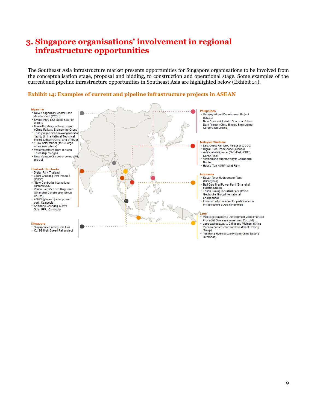# <span id="page-8-0"></span>**3. Singapore organisations' involvement in regional infrastructure opportunities**

The Southeast Asia infrastructure market presents opportunities for Singapore organisations to be involved from the conceptualisation stage, proposal and bidding, to construction and operational stage. Some examples of the current and pipeline infrastructure opportunities in Southeast Asia are highlighted below (Exhibit 14).

#### **Exhibit 14: Examples of current and pipeline infrastructure projects in ASEAN**

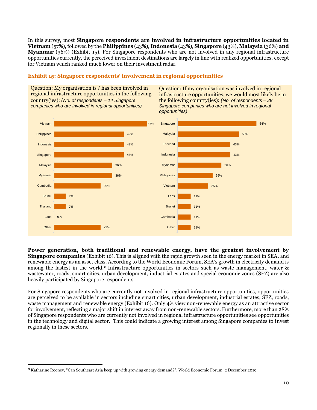In this survey, most **Singapore respondents are involved in infrastructure opportunities located in Vietnam** (57%), followed by the **Philippines** (43%), **Indonesia** (43%), **Singapore** (43%), **Malaysia** (36%) **and Myanmar** (36%) (Exhibit 15). For Singapore respondents who are not involved in any regional infrastructure opportunities currently, the perceived investment destinations are largely in line with realized opportunities, except for Vietnam which ranked much lower on their investment radar.

#### **Exhibit 15: Singapore respondents' involvement in regional opportunities**

Question: My organisation is / has been involved in regional infrastructure opportunities in the following country(ies): *(No. of respondents – 14 Singapore companies who are involved in regional opportunities)*

Question: If my organisation was involved in regional infrastructure opportunities, we would most likely be in the following country(ies): *(No. of respondents – 28 Singapore companies who are not involved in regional opportunities)*



**Power generation, both traditional and renewable energy, have the greatest involvement by Singapore companies** (Exhibit 16). This is aligned with the rapid growth seen in the energy market in SEA, and renewable energy as an asset class. According to the World Economic Forum, SEA's growth in electricity demand is among the fastest in the world. <sup>8</sup> Infrastructure opportunities in sectors such as waste management, water & wastewater, roads, smart cities, urban development, industrial estates and special economic zones (SEZ) are also heavily participated by Singapore respondents.

For Singapore respondents who are currently not involved in regional infrastructure opportunities, opportunities are perceived to be available in sectors including smart cities, urban development, industrial estates, SEZ, roads, waste management and renewable energy (Exhibit 16). Only 4% view non-renewable energy as an attractive sector for involvement, reflecting a major shift in interest away from non-renewable sectors. Furthermore, more than 28% of Singapore respondents who are currently not involved in regional infrastructure opportunities see opportunities in the technology and digital sector. This could indicate a growing interest among Singapore companies to invest regionally in these sectors.

<sup>8</sup> Katharine Rooney, "Can Southeast Asia keep up with growing energy demand?", World Economic Forum, 2 December 2019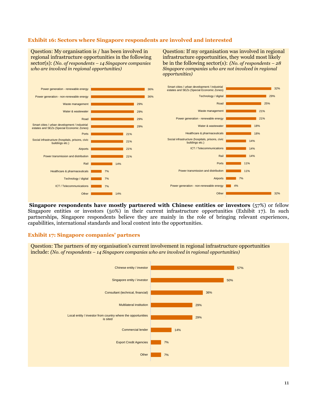#### **Exhibit 16: Sectors where Singapore respondents are involved and interested**

Question: My organisation is / has been involved in regional infrastructure opportunities in the following sector(s): *(No. of respondents – 14 Singapore companies who are involved in regional opportunities)*

Question: If my organisation was involved in regional infrastructure opportunities, they would most likely be in the following sector(s): *(No. of respondents – 28 Singapore companies who are not involved in regional opportunities)*

![](_page_10_Figure_3.jpeg)

**Singapore respondents have mostly partnered with Chinese entities or investors** (57%) or fellow Singapore entities or investors (50%) in their current infrastructure opportunities (Exhibit 17). In such partnerships, Singapore respondents believe they are mainly in the role of bringing relevant experiences, capabilities, international standards and local context into the opportunities.

#### **Exhibit 17: Singapore companies' partners**

Question: The partners of my organisation's current involvement in regional infrastructure opportunities include: *(No. of respondents – 14 Singapore companies who are involved in regional opportunities)*

![](_page_10_Figure_7.jpeg)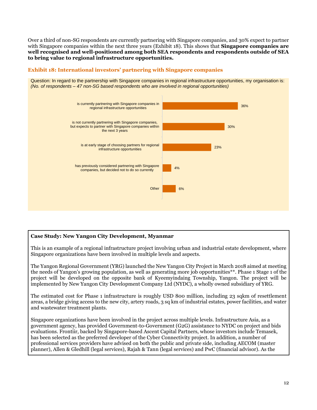Over a third of non-SG respondents are currently partnering with Singapore companies, and 30% expect to partner with Singapore companies within the next three years (Exhibit 18). This shows that **Singapore companies are well recognised and well-positioned among both SEA respondents and respondents outside of SEA to bring value to regional infrastructure opportunities.**

# **Exhibit 18: International investors' partnering with Singapore companies**

Question: In regard to the partnership with Singapore companies in regional infrastructure opportunities, my organisation is: *(No. of respondents – 47 non-SG based respondents who are involved in regional opportunities)*

![](_page_11_Figure_3.jpeg)

# **Case Study: New Yangon City Development, Myanmar**

This is an example of a regional infrastructure project involving urban and industrial estate development, where Singapore organizations have been involved in multiple levels and aspects.

The Yangon Regional Government (YRG) launched the New Yangon City Project in March 2018 aimed at meeting the needs of Yangon's growing population, as well as generating more job opportunities\*\*. Phase 1 Stage 1 of the project will be developed on the opposite bank of Kyeemyindaing Township, Yangon. The project will be implemented by New Yangon City Development Company Ltd (NYDC), a wholly owned subsidiary of YRG.

The estimated cost for Phase 1 infrastructure is roughly USD 800 million, including 23 sqkm of resettlement areas, a bridge giving access to the new city, artery roads, 3 sq km of industrial estates, power facilities, and water and wastewater treatment plants.

Singapore organizations have been involved in the project across multiple levels. Infrastructure Asia, as a government agency, has provided Government-to-Government (G2G) assistance to NYDC on project and bids evaluations. Frontiir, backed by Singapore-based Ascent Capital Partners, whose investors include Temasek, has been selected as the preferred developer of the Cyber Connectivity project. In addition, a number of professional services providers have advised on both the public and private side, including AECOM (master planner), Allen & Gledhill (legal services), Rajah & Tann (legal services) and PwC (financial advisor). As the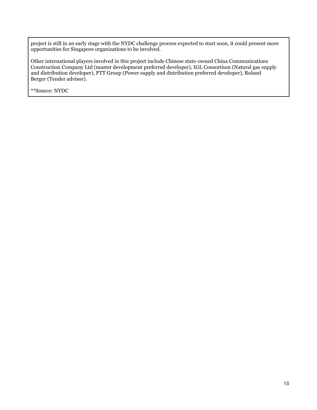project is still in an early stage with the NYDC challenge process expected to start soon, it could present more opportunities for Singapore organizations to be involved.

Other international players involved in this project include Chinese state-owned China Communications Construction Company Ltd (master development preferred developer), IGL Consortium (Natural gas supply and distribution developer), PTT Group (Power supply and distribution preferred developer), Roland Berger (Tender advisor).

\*\*Source: NYDC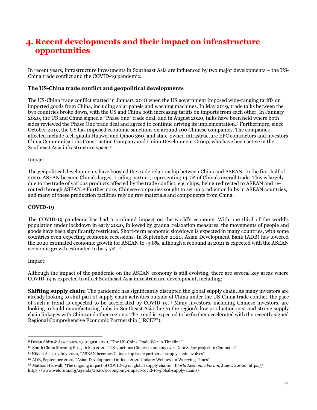# <span id="page-13-0"></span>**4. Recent developments and their impact on infrastructure opportunities**

In recent years, infrastructure investments in Southeast Asia are influenced by two major developments – the US-China trade conflict and the COVID-19 pandemic.

#### **The US-China trade conflict and geopolitical developments**

The US-China trade conflict started in January 2018 when the US government imposed wide-ranging tariffs on imported goods from China, including solar panels and washing machines. In May 2019, trade talks between the two countries broke down, with the US and China both increasing tariffs on imports from each other. In January 2020, the US and China signed a "Phase one" trade deal, and in August 2020, talks have been held where both sides reviewed the Phase One trade deal and agreed to continue driving its implementation.<sup>9</sup> Furthermore, since October 2019, the US has imposed economic sanctions on around 100 Chinese companies. The companies affected include tech giants Huawei and Qihoo 360, and state-owned infrastructure EPC contractors and investors China Communications Construction Company and Union Development Group, who have been active in the Southeast Asia infrastructure space.<sup>10</sup>

#### Impact:

The geopolitical developments have boosted the trade relationship between China and ASEAN. In the first half of 2020, ASEAN became China's largest trading partner, representing 14.7% of China's overall trade. This is largely due to the trade of various products affected by the trade conflict, e.g. chips, being redirected to ASEAN and rerouted through ASEAN.<sup>11</sup> Furthermore, Chinese companies sought to set up production hubs in ASEAN countries, and many of these production facilities rely on raw materials and components from China.

#### **COVID-19**

The COVID-19 pandemic has had a profound impact on the world's economy. With one third of the world's population under lockdown in early 2020, followed by gradual relaxation measures, the movements of people and goods have been significantly restricted. Short-term economic slowdown is expected in many countries, with some countries even expecting economic recessions. In September 2020, Asian Development Bank (ADB) has lowered the 2020 estimated economic growth for ASEAN to -3.8%, although a rebound in 2021 is expected with the ASEAN economic growth estimated to be 5.5%. <sup>12</sup>

#### Impact:

Although the impact of the pandemic on the ASEAN economy is still evolving, there are several key areas where COVID-19 is expected to affect Southeast Asia infrastructure development, including:

**Shifting supply chain:** The pandemic has significantly disrupted the global supply chain. As many investors are already looking to shift part of supply chain activities outside of China under the US-China trade conflict, the pace of such a trend is expected to be accelerated by COVID-19. <sup>13</sup> Many investors, including Chinese investors, are looking to build manufacturing hubs in Southeast Asia due to the region's low production cost and strong supply chain linkages with China and other regions. The trend is expected to be further accelerated with the recently signed Regional Comprehensive Economic Partnership ("RCEP").

<sup>9</sup> Dezan Shira & Associates, 25 August 2020, "The US-China Trade War: A Timeline"

<sup>10</sup> South China Morning Post, 16 Sep 2020, "US sanctions Chinese company over Dara Sakor project in Cambodia"

<sup>11</sup> Nikkei Asia, 15 July 2020, "ASEAN becomes China's top trade partner as supply chain evolves"

<sup>12</sup> ADB, September 2020, "Asian Development Outlook 2020 Update: Wellness in Worrying Times"

<sup>13</sup> Mattias Hedwall, "The ongoing impact of COVID-19 on global supply chains", *World Economic Forum*, June 22 2020, https://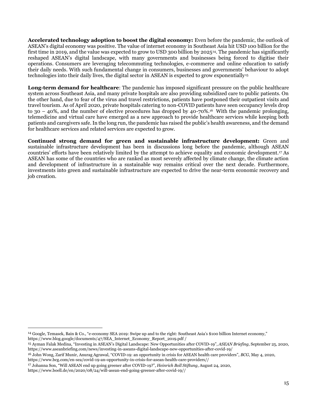**Accelerated technology adoption to boost the digital economy:** Even before the pandemic, the outlook of ASEAN's digital economy was positive. The value of internet economy in Southeast Asia hit USD 100 billion for the first time in 2019, and the value was expected to grow to USD 300 billion by 202514. The pandemic has significantly reshaped ASEAN's digital landscape, with many governments and businesses being forced to digitise their operations. Consumers are leveraging telecommuting technologies, e-commerce and online education to satisfy their daily needs. With such fundamental change in consumers, businesses and governments' behaviour to adopt technologies into their daily lives, the digital sector in ASEAN is expected to grow exponentially<sup>15</sup>

**Long-term demand for healthcare**: The pandemic has imposed significant pressure on the public healthcare system across Southeast Asia, and many private hospitals are also providing subsidized care to public patients. On the other hand, due to fear of the virus and travel restrictions, patients have postponed their outpatient visits and travel tourism. As of April 2020, private hospitals catering to non-COVID patients have seen occupancy levels drop to 30 – 40%, and the number of elective procedures has dropped by  $40-70\%$ .<sup>16</sup> With the pandemic prolonging, telemedicine and virtual care have emerged as a new approach to provide healthcare services while keeping both patients and caregivers safe. In the long run, the pandemic has raised the public's health awareness, and the demand for healthcare services and related services are expected to grow.

**Continued strong demand for green and sustainable infrastructure development:** Green and sustainable infrastructure development has been in discussions long before the pandemic, although ASEAN countries' efforts have been relatively limited by the attempt to achieve equality and economic development.<sup>17</sup> As ASEAN has some of the countries who are ranked as most severely affected by climate change, the climate action and development of infrastructure in a sustainable way remains critical over the next decade. Furthermore, investments into green and sustainable infrastructure are expected to drive the near-term economic recovery and job creation.

<sup>14</sup> Google, Temasek, Bain & Co., "e-economy SEA 2019: Swipe up and to the right: Southeast Asia's \$100 billion Internet economy," https://www.blog.google/documents/47/SEA\_Internet\_Economy\_Report\_2019.pdf /

<sup>15</sup> Ayman Falak Medina, "Investing in ASEAN's Digital Landscape: New Opportunities after COVID-19", *ASEAN Briefing*, September 25, 2020, https://www.aseanbriefing.com/news/investing-in-aseans-digital-landscape-new-opportunities-after-covid-19/

<sup>16</sup> John Wong, Zarif Munir, Anurag Agrawal, "COVID-19: an opportunity in crisis for ASEAN health care providers", *BCG*, May 4, 2020, https://www.bcg.com/en-sea/covid-19-an-opportunity-in-crisis-for-asean-health-care-providers//

<sup>17</sup> Johanna Son, "Will ASEAN end up going greener after COVID-19?", *Heinrich Boll Stiftung*, August 24, 2020,

https://www.boell.de/en/2020/08/24/will-asean-end-going-greener-after-covid-19//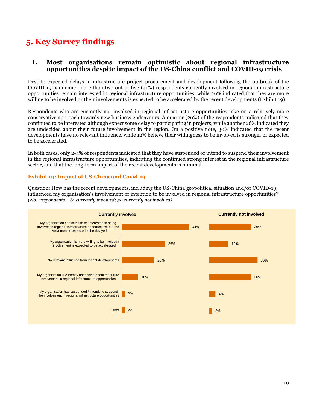# <span id="page-15-0"></span>**5. Key Survey findings**

# **I. Most organisations remain optimistic about regional infrastructure opportunities despite impact of the US-China conflict and COVID-19 crisis**

Despite expected delays in infrastructure project procurement and development following the outbreak of the COVID-19 pandemic, more than two out of five (41%) respondents currently involved in regional infrastructure opportunities remain interested in regional infrastructure opportunities, while 26% indicated that they are more willing to be involved or their involvements is expected to be accelerated by the recent developments (Exhibit 19).

Respondents who are currently not involved in regional infrastructure opportunities take on a relatively more conservative approach towards new business endeavours. A quarter (26%) of the respondents indicated that they continued to be interested although expect some delay to participating in projects, while another 26% indicated they are undecided about their future involvement in the region. On a positive note, 30% indicated that the recent developments have no relevant influence, while 12% believe their willingness to be involved is stronger or expected to be accelerated.

In both cases, only 2-4% of respondents indicated that they have suspended or intend to suspend their involvement in the regional infrastructure opportunities, indicating the continued strong interest in the regional infrastructure sector, and that the long-term impact of the recent developments is minimal.

#### **Exhibit 19: Impact of US-China and Covid-19**

Question: How has the recent developments, including the US-China geopolitical situation and/or COVID-19, influenced my organisation's involvement or intention to be involved in regional infrastructure opportunities? *(No. respondents – 61 currently involved; 50 currently not involved)*

![](_page_15_Figure_7.jpeg)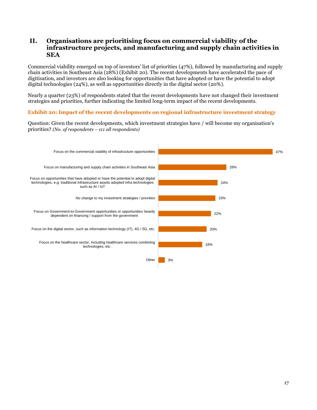# **II. Organisations are prioritising focus on commercial viability of the infrastructure projects, and manufacturing and supply chain activities in SEA**

Commercial viability emerged on top of investors' list of priorities (47%), followed by manufacturing and supply chain activities in Southeast Asia (28%) (Exhibit 20). The recent developments have accelerated the pace of digitisation, and investors are also looking for opportunities that have adopted or have the potential to adopt digital technologies (24%), as well as opportunities directly in the digital sector (20%).

Nearly a quarter (23%) of respondents stated that the recent developments have not changed their investment strategies and priorities, further indicating the limited long-term impact of the recent developments.

#### **Exhibit 20: Impact of the recent developments on regional infrastructure investment strategy**

Question: Given the recent developments, which investment strategies have / will become my organisation's priorities? *(No. of respondents – 111 all respondents)*

![](_page_16_Figure_5.jpeg)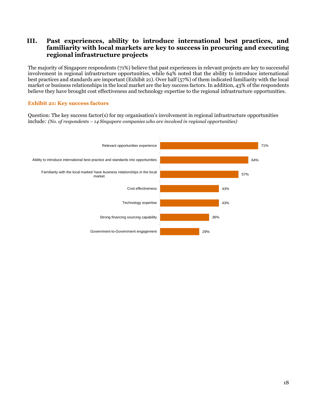# **III. Past experiences, ability to introduce international best practices, and familiarity with local markets are key to success in procuring and executing regional infrastructure projects**

The majority of Singapore respondents (71%) believe that past experiences in relevant projects are key to successful involvement in regional infrastructure opportunities, while 64% noted that the ability to introduce international best practices and standards are important (Exhibit 21). Over half (57%) of them indicated familiarity with the local market or business relationships in the local market are the key success factors. In addition, 43% of the respondents believe they have brought cost effectiveness and technology expertise to the regional infrastructure opportunities.

#### **Exhibit 21: Key success factors**

Question: The key success factor(s) for my organisation's involvement in regional infrastructure opportunities include*: (No. of respondents – 14 Singapore companies who are involved in regional opportunities)*

![](_page_17_Figure_4.jpeg)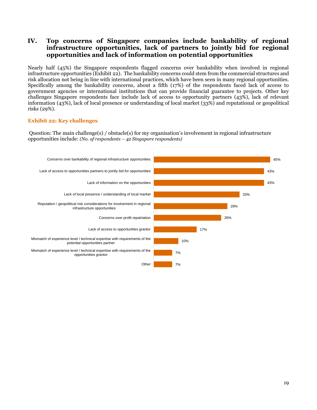# **IV. Top concerns of Singapore companies include bankability of regional infrastructure opportunities, lack of partners to jointly bid for regional opportunities and lack of information on potential opportunities**

Nearly half (45%) the Singapore respondents flagged concerns over bankability when involved in regional infrastructure opportunities (Exhibit 22). The bankability concerns could stem from the commercial structures and risk allocation not being in line with international practices, which have been seen in many regional opportunities. Specifically among the bankability concerns, about a fifth (17%) of the respondents faced lack of access to government agencies or international institutions that can provide financial guarantee to projects. Other key challenges Singapore respondents face include lack of access to opportunity partners (43%), lack of relevant information (43%), lack of local presence or understanding of local market (33%) and reputational or geopolitical risks (29%).

#### **Exhibit 22: Key challenges**

Question: The main challenge(s) / obstacle(s) for my organisation's involvement in regional infrastructure opportunities include: *(No. of respondents – 42 Singapore respondents)*

![](_page_18_Figure_4.jpeg)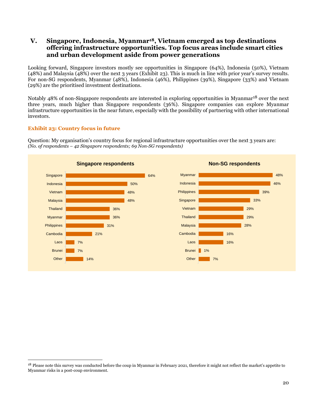# **V. Singapore, Indonesia, Myanmar18, Vietnam emerged as top destinations offering infrastructure opportunities. Top focus areas include smart cities and urban development aside from power generations**

Looking forward, Singapore investors mostly see opportunities in Singapore (64%), Indonesia (50%), Vietnam (48%) and Malaysia (48%) over the next 3 years (Exhibit 23). This is much in line with prior year's survey results. For non-SG respondents, Myanmar (48%), Indonesia (46%), Philippines (39%), Singapore (33%) and Vietnam (29%) are the prioritised investment destinations.

Notably 48% of non-Singapore respondents are interested in exploring opportunities in Myanmar<sup>18</sup> over the next three years, much higher than Singapore respondents (36%). Singapore companies can explore Myanmar infrastructure opportunities in the near future, especially with the possibility of partnering with other international investors.

#### **Exhibit 23: Country focus in future**

Question: My organisation's country focus for regional infrastructure opportunities over the next 3 years are: *(No. of respondents – 42 Singapore respondents; 69 Non-SG respondents)*

![](_page_19_Figure_5.jpeg)

<sup>&</sup>lt;sup>18</sup> Please note this survey was conducted before the coup in Myanmar in February 2021, therefore it might not reflect the market's appetite to Myanmar risks in a post-coup environment.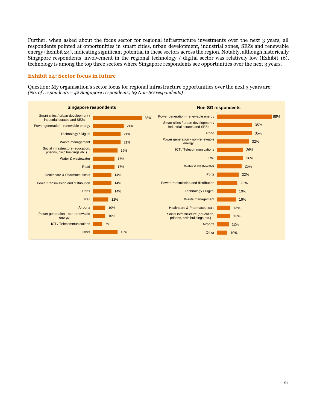Further, when asked about the focus sector for regional infrastructure investments over the next 3 years, all respondents pointed at opportunities in smart cities, urban development, industrial zones, SEZs and renewable energy (Exhibit 24), indicating significant potential in these sectors across the region. Notably, although historically Singapore respondents' involvement in the regional technology / digital sector was relatively low (Exhibit 16), technology is among the top three sectors where Singapore respondents see opportunities over the next 3 years.

#### **Exhibit 24: Sector focus in future**

Question: My organisation's sector focus for regional infrastructure opportunities over the next 3 years are: *(No. of respondents – 42 Singapore respondents; 69 Non-SG respondents)*

![](_page_20_Figure_3.jpeg)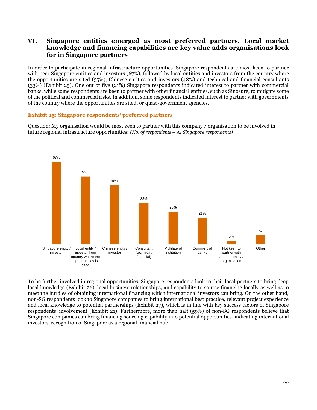# **VI. Singapore entities emerged as most preferred partners. Local market knowledge and financing capabilities are key value adds organisations look for in Singapore partners**

In order to participate in regional infrastructure opportunities, Singapore respondents are most keen to partner with peer Singapore entities and investors (67%), followed by local entities and investors from the country where the opportunities are sited (55%), Chinese entities and investors (48%) and technical and financial consultants (33%) (Exhibit 25). One out of five (21%) Singapore respondents indicated interest to partner with commercial banks, while some respondents are keen to partner with other financial entities, such as Sinosure, to mitigate some of the political and commercial risks. In addition, some respondents indicated interest to partner with governments of the country where the opportunities are sited, or quasi-government agencies.

#### **Exhibit 25: Singapore respondents' preferred partners**

Question: My organisation would be most keen to partner with this company / organisation to be involved in future regional infrastructure opportunities: *(No. of respondents – 42 Singapore respondents)*

![](_page_21_Figure_4.jpeg)

To be further involved in regional opportunities, Singapore respondents look to their local partners to bring deep local knowledge (Exhibit 26), local business relationships, and capability to source financing locally as well as to meet the hurdles of obtaining international financing which international investors can bring. On the other hand, non-SG respondents look to Singapore companies to bring international best practice, relevant project experience and local knowledge to potential partnerships (Exhibit 27), which is in line with key success factors of Singapore respondents' involvement (Exhibit 21). Furthermore, more than half (59%) of non-SG respondents believe that Singapore companies can bring financing sourcing capability into potential opportunities, indicating international investors' recognition of Singapore as a regional financial hub.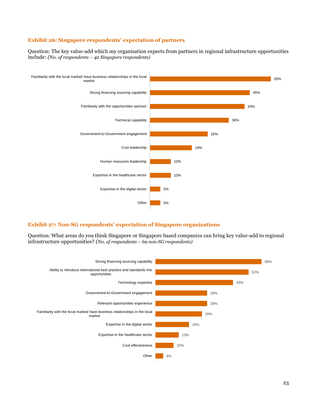#### **Exhibit 26: Singapore respondents' expectation of partners**

Question: The key value-add which my organisation expects from partners in regional infrastructure opportunities include: *(No. of respondents – 42 Singapore respondents)*

![](_page_22_Figure_2.jpeg)

#### **Exhibit 27: Non-SG respondents' expectation of Singapore organizations**

Question: What areas do you think Singapore or Singapore based companies can bring key value-add to regional infrastructure opportunities? *(No. of respondents – 69 non-SG respondents)*

![](_page_22_Figure_5.jpeg)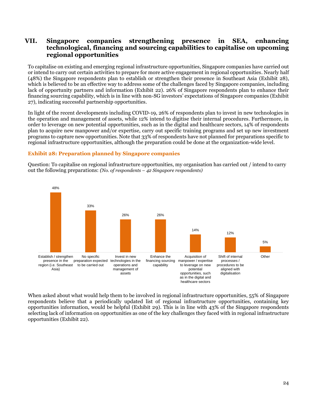# **VII. Singapore companies strengthening presence in SEA, enhancing technological, financing and sourcing capabilities to capitalise on upcoming regional opportunities**

To capitalise on existing and emerging regional infrastructure opportunities, Singapore companies have carried out or intend to carry out certain activities to prepare for more active engagement in regional opportunities. Nearly half (48%) the Singapore respondents plan to establish or strengthen their presence in Southeast Asia (Exhibit 28), which is believed to be an effective way to address some of the challenges faced by Singapore companies, including lack of opportunity partners and information (Exhibit 22). 26% of Singapore respondents plan to enhance their financing sourcing capability, which is in line with non-SG investors' expectations of Singapore companies (Exhibit 27), indicating successful partnership opportunities.

In light of the recent developments including COVID-19, 26% of respondents plan to invest in new technologies in the operation and management of assets, while 12% intend to digitise their internal procedures. Furthermore, in order to leverage on new potential opportunities, such as in the digital and healthcare sectors, 14% of respondents plan to acquire new manpower and/or expertise, carry out specific training programs and set up new investment programs to capture new opportunities. Note that 33% of respondents have not planned for preparations specific to regional infrastructure opportunities, although the preparation could be done at the organization-wide level.

#### **Exhibit 28: Preparation planned by Singapore companies**

Question: To capitalise on regional infrastructure opportunities, my organisation has carried out / intend to carry out the following preparations: *(No. of respondents – 42 Singapore respondents)*

![](_page_23_Figure_5.jpeg)

When asked about what would help them to be involved in regional infrastructure opportunities, 55% of Singapore respondents believe that a periodically updated list of regional infrastructure opportunities, containing key opportunities information, would be helpful (Exhibit 29). This is in line with 43% of the Singapore respondents selecting lack of information on opportunities as one of the key challenges they faced with in regional infrastructure opportunities (Exhibit 22).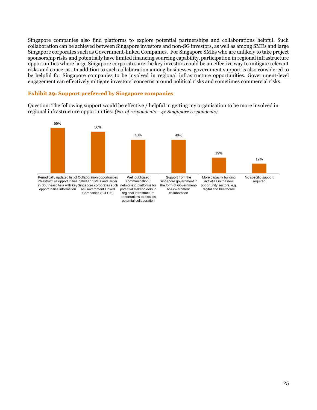Singapore companies also find platforms to explore potential partnerships and collaborations helpful. Such collaboration can be achieved between Singapore investors and non-SG investors, as well as among SMEs and large Singapore corporates such as Government-linked Companies. For Singapore SMEs who are unlikely to take project sponsorship risks and potentially have limited financing sourcing capability, participation in regional infrastructure opportunities where large Singapore corporates are the key investors could be an effective way to mitigate relevant risks and concerns. In addition to such collaboration among businesses, government support is also considered to be helpful for Singapore companies to be involved in regional infrastructure opportunities. Government-level engagement can effectively mitigate investors' concerns around political risks and sometimes commercial risks.

#### **Exhibit 29: Support preferred by Singapore companies**

Question: The following support would be effective / helpful in getting my organisation to be more involved in regional infrastructure opportunities: *(No. of respondents – 42 Singapore respondents)*

![](_page_24_Figure_3.jpeg)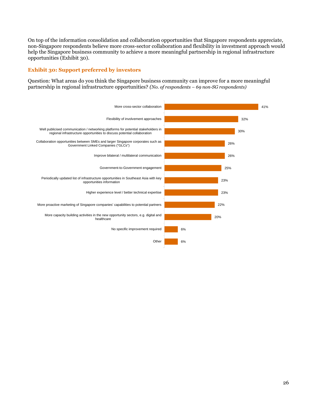On top of the information consolidation and collaboration opportunities that Singapore respondents appreciate, non-Singapore respondents believe more cross-sector collaboration and flexibility in investment approach would help the Singapore business community to achieve a more meaningful partnership in regional infrastructure opportunities (Exhibit 30).

### **Exhibit 30: Support preferred by investors**

Question: What areas do you think the Singapore business community can improve for a more meaningful partnership in regional infrastructure opportunities? *(No. of respondents – 69 non-SG respondents)*

![](_page_25_Figure_3.jpeg)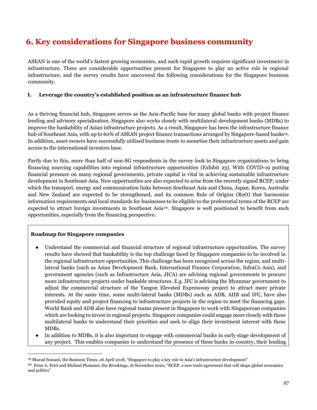# <span id="page-26-0"></span>**6. Key considerations for Singapore business community**

ASEAN is one of the world's fastest growing economies, and such rapid growth requires significant investment in infrastructure. There are considerable opportunities present for Singapore to play an active role in regional infrastructure, and the survey results have uncovered the following considerations for the Singapore business community.

# **I. Leverage the country's established position as an infrastructure finance hub**

As a thriving financial hub, Singapore serves as the Asia-Pacific base for many global banks with project finance lending and advisory specialisation. Singapore also works closely with multilateral development banks (MDBs) to improve the bankability of Asian infrastructure projects. As a result, Singapore has been the infrastructure finance hub of Southeast Asia, with up to 60% of ASEAN project finance transactions arranged by Singapore-based banks<sup>19</sup>. In addition, asset owners have successfully utilised business trusts to monetise their infrastructure assets and gain access to the international investors base.

Partly due to this, more than half of non-SG respondents in the survey look to Singapore organizations to bring financing sourcing capabilities into regional infrastructure opportunities (Exhibit 23). With COVID-19 putting financial pressure on many regional governments, private capital is vital in achieving sustainable infrastructure development in Southeast Asia. New opportunities are also expected to arise from the recently signed RCEP, under which the transport, energy and communication links between Southeast Asia and China, Japan, Korea, Australia and New Zealand are expected to be strengthened, and its common Rule of Origins (RoO) that harmonize information requirements and local standards for businesses to be eligible to the preferential terms of the RCEP are expected to attract foreign investments in Southeast Asia<sup>20</sup>. Singapore is well positioned to benefit from such opportunities, especially from the financing perspective.

# **Roadmap for Singapore companies**

- Understand the commercial and financial structure of regional infrastructure opportunities. The survey results have showed that bankability is the top challenge faced by Singapore companies to be involved in the regional infrastructure opportunities. This challenge has been recognized across the region, and multilateral banks (such as Asian Development Bank, International Finance Corporation, InfraCo Asia), and government agencies (such as Infrastructure Asia, JICA) are advising regional governments to procure more infrastructure projects under bankable structures. E.g. IFC is advising the Myanmar government to adjust the commercial structure of the Yangon Elevated Expressway project to attract more private interests. At the same time, some multi-lateral banks (MDBs) such as ADB, AIIB and IFC, have also provided equity and project financing to infrastructure projects in the region to meet the financing gaps. World Bank and ADB also have regional teams present in Singapore to work with Singaporean companies which are looking to invest in regional projects. Singapore companies could engage more closely with these multilateral banks to understand their priorities and seek to align their investment interest with these MDBs.
- In addition to MDBs, it is also important to engage with commercial banks in early stage development of any project. This enables companies to understand the presence of these banks in-country, their lending

<sup>19</sup> Sharad Somani, the Business Times, 26 April 2018, "Singapore to play a key role in Asia's infrastructure development"

<sup>&</sup>lt;sup>20</sup> Peter A. Petri and Michael Plummer, the Brookings, 16 November 2020, "RCEP: a new trade agreement that will shape global economics and politics"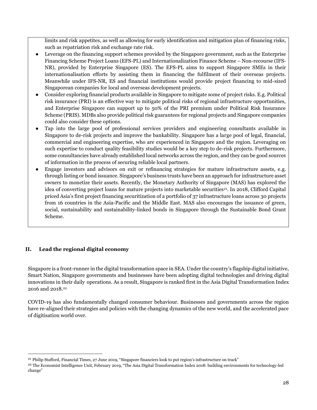limits and risk appetites, as well as allowing for early identification and mitigation plan of financing risks, such as repatriation risk and exchange rate risk.

- Leverage on the financing support schemes provided by the Singapore government, such as the Enterprise Financing Scheme Project Loans (EFS-PL) and Internationalization Finance Scheme – Non-recourse (IFS-NR), provided by Enterprise Singapore (ES). The EFS-PL aims to support Singapore SMEs in their internationalisation efforts by assisting them in financing the fulfilment of their overseas projects. Meanwhile under IFS-NR, ES and financial institutions would provide project financing to mid-sized Singaporean companies for local and overseas development projects.
- Consider exploring financial products available in Singapore to mitigate some of project risks. E.g. Political risk insurance (PRI) is an effective way to mitigate political risks of regional infrastructure opportunities, and Enterprise Singapore can support up to 50% of the PRI premium under Political Risk Insurance Scheme (PRIS). MDBs also provide political risk guarantees for regional projects and Singapore companies could also consider these options.
- Tap into the large pool of professional services providers and engineering consultants available in Singapore to de-risk projects and improve the bankability. Singapore has a large pool of legal, financial, commercial and engineering expertise, who are experienced in Singapore and the region. Leveraging on such expertise to conduct quality feasibility studies would be a key step to de-risk projects. Furthermore, some consultancies have already established local networks across the region, and they can be good sources of information in the process of securing reliable local partners.
- Engage investors and advisors on exit or refinancing strategies for mature infrastructure assets, e.g. through listing or bond issuance. Singapore's business trusts have been an approach for infrastructure asset owners to monetize their assets. Recently, the Monetary Authority of Singapore (MAS) has explored the idea of converting project loans for mature projects into marketable securities<sup>21</sup>. In 2018, Clifford Capital priced Asia's first project financing securitization of a portfolio of 37 infrastructure loans across 30 projects from 16 countries in the Asia-Pacific and the Middle East. MAS also encourages the issuance of green, social, sustainability and sustainability-linked bonds in Singapore through the Sustainable Bond Grant Scheme.

# **II. Lead the regional digital economy**

Singapore is a front-runner in the digital transformation space in SEA. Under the country's flagship digital initiative, Smart Nation, Singapore governments and businesses have been adopting digital technologies and driving digital innovations in their daily operations. As a result, Singapore is ranked first in the Asia Digital Transformation Index 2016 and 2018.<sup>22</sup>

COVID-19 has also fundamentally changed consumer behaviour. Businesses and governments across the region have re-aligned their strategies and policies with the changing dynamics of the new world, and the accelerated pace of digitisation world over.

<sup>21</sup> Philip Stafford, Financial Times, 27 June 2019, "Singapore financiers look to put region's infrastructure on track"

<sup>&</sup>lt;sup>22</sup> The Economist Intelligence Unit, February 2019, "The Asia Digital Transformation Index 2018: building environments for technology-led change"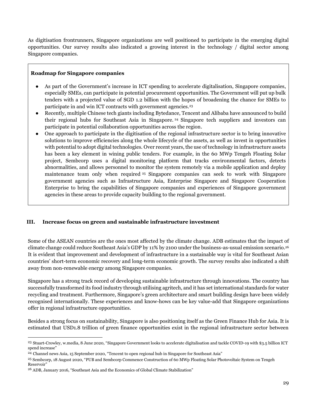As digitisation frontrunners, Singapore organizations are well positioned to participate in the emerging digital opportunities. Our survey results also indicated a growing interest in the technology / digital sector among Singapore companies.

#### **Roadmap for Singapore companies**

- As part of the Government's increase in ICT spending to accelerate digitalisation, Singapore companies, especially SMEs, can participate in potential procurement opportunities. The Government will put up bulk tenders with a projected value of SGD 1.2 billion with the hopes of broadening the chance for SMEs to participate in and win ICT contracts with government agencies.<sup>23</sup>
- Recently, multiple Chinese tech giants including Bytedance, Tencent and Alibaba have announced to build their regional hubs for Southeast Asia in Singapore. <sup>24</sup> Singapore tech suppliers and investors can participate in potential collaboration opportunities across the region.
- One approach to participate in the digitisation of the regional infrastructure sector is to bring innovative solutions to improve efficiencies along the whole lifecycle of the assets, as well as invest in opportunities with potential to adopt digital technologies. Over recent years, the use of technology in infrastructure assets has been a key element in wining public tenders. For example, in the 60 MWp Tengeh Floating Solar project, Sembcorp uses a digital monitoring platform that tracks environmental factors, detects abnormalities, and allows personnel to monitor the system remotely via a mobile application and deploy maintenance team only when required <sup>25</sup> Singapore companies can seek to work with Singapore government agencies such as Infrastructure Asia, Enterprise Singapore and Singapore Cooperation Enterprise to bring the capabilities of Singapore companies and experiences of Singapore government agencies in these areas to provide capacity building to the regional government.

# **III. Increase focus on green and sustainable infrastructure investment**

Some of the ASEAN countries are the ones most affected by the climate change. ADB estimates that the impact of climate change could reduce Southeast Asia's GDP by 11% by 2100 under the business-as-usual emission scenario.<sup>26</sup> It is evident that improvement and development of infrastructure in a sustainable way is vital for Southeast Asian countries' short-term economic recovery and long-term economic growth. The survey results also indicated a shift away from non-renewable energy among Singapore companies.

Singapore has a strong track record of developing sustainable infrastructure through innovations. The country has successfully transformed its food industry through utilising agritech, and it has set international standards for water recycling and treatment. Furthermore, Singapore's green architecture and smart building design have been widely recognised internationally. These experiences and know-hows can be key value-add that Singapore organizations offer in regional infrastructure opportunities.

Besides a strong focus on sustainability, Singapore is also positioning itself as the Green Finance Hub for Asia. It is estimated that USD1.8 trillion of green finance opportunities exist in the regional infrastructure sector between

<sup>23</sup> Stuart-Crowley, w.media, 8 June 2020, "Singapore Government looks to accelerate digitalisation and tackle COVID-19 with \$3.5 billion ICT spend increase"

<sup>24</sup> Channel news Asia, 15 September 2020, "Tencent to open regional hub in Singapore for Southeast Asia"

<sup>25</sup> Sembcorp, 18 August 2020, "PUB and Sembcorp Commence Construction of 60 MWp Floating Solar Photovoltaic System on Tengeh Reservoir"

<sup>26</sup> ADB, January 2016, "Southeast Asia and the Economics of Global Climate Stabilization"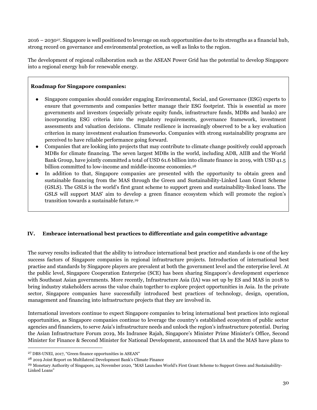2016 – 203027. Singapore is well positioned to leverage on such opportunities due to its strengths as a financial hub, strong record on governance and environmental protection, as well as links to the region.

The development of regional collaboration such as the ASEAN Power Grid has the potential to develop Singapore into a regional energy hub for renewable energy.

### **Roadmap for Singapore companies:**

- Singapore companies should consider engaging Environmental, Social, and Governance (ESG) experts to ensure that governments and companies better manage their ESG footprint. This is essential as more governments and investors (especially private equity funds, infrastructure funds, MDBs and banks) are incorporating ESG criteria into the regulatory requirements, governance framework, investment assessments and valuation decisions. Climate resilience is increasingly observed to be a key evaluation criterion in many investment evaluation frameworks. Companies with strong sustainability programs are perceived to have reliable performance going forward.
- Companies that are looking into projects that may contribute to climate change positively could approach MDBs for climate financing. The seven largest MDBs in the world, including ADB, AIIB and the World Bank Group, have jointly committed a total of USD 61.6 billion into climate finance in 2019, with USD 41.5 billion committed to low-income and middle-income economies.<sup>28</sup>
- In addition to that, Singapore companies are presented with the opportunity to obtain green and sustainable financing from the MAS through the Green and Sustainability-Linked Loan Grant Scheme (GSLS). The GSLS is the world's first grant scheme to support green and sustainability-linked loans. The GSLS will support MAS' aim to develop a green finance ecosystem which will promote the region's transition towards a sustainable future.<sup>29</sup>

# **IV. Embrace international best practices to differentiate and gain competitive advantage**

The survey results indicated that the ability to introduce international best practice and standards is one of the key success factors of Singapore companies in regional infrastructure projects. Introduction of international best practise and standards by Singapore players are prevalent at both the government level and the enterprise level. At the public level, Singapore Cooperation Enterprise (SCE) has been sharing Singapore's development experience with Southeast Asian governments. More recently, Infrastructure Asia (IA) was set up by ES and MAS in 2018 to bring industry stakeholders across the value chain together to explore project opportunities in Asia. In the private sector, Singapore companies have successfully introduced best practices of technology, design, operation, management and financing into infrastructure projects that they are involved in.

International investors continue to expect Singapore companies to bring international best practices into regional opportunities, as Singapore companies continue to leverage the country's established ecosystem of public sector agencies and financiers, to serve Asia's infrastructure needs and unlock the region's infrastructure potential. During the Asian Infrastructure Forum 2019, Ms Indranee Rajah, Singapore's Minister Prime Minister's Office, Second Minister for Finance & Second Minister for National Development, announced that IA and the MAS have plans to

<sup>27</sup> DBS-UNEI, 2017, "Green finance opportunities in ASEAN"

<sup>28</sup> 2019 Joint Report on Multilateral Development Bank's Climate Finance

<sup>29</sup> Monetary Authority of Singapore, 24 November 2020, "MAS Launches World's First Grant Scheme to Support Green and Sustainability-Linked Loans"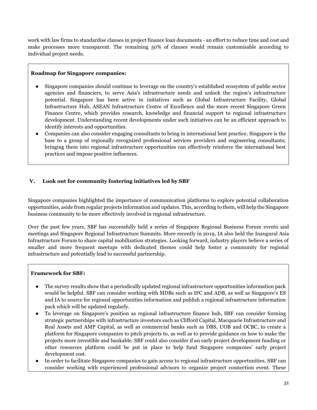work with law firms to standardise clauses in project finance loan documents - an effort to reduce time and cost and make processes more transparent. The remaining 50% of clauses would remain customisable according to individual project needs.

### **Roadmap for Singapore companies:**

- Singapore companies should continue to leverage on the country's established ecosystem of public sector agencies and financiers, to serve Asia's infrastructure needs and unlock the region's infrastructure potential. Singapore has been active in initiatives such as Global Infrastructure Facility, Global Infrastructure Hub, ASEAN Infrastructure Centre of Excellence and the more recent Singapore Green Finance Centre, which provides research, knowledge and financial support to regional infrastructure development. Understanding recent developments under such initiatives can be an efficient approach to identify interests and opportunities.
- Companies can also consider engaging consultants to bring in international best practice. Singapore is the base to a group of regionally recognized professional services providers and engineering consultants; bringing them into regional infrastructure opportunities can effectively reinforce the international best practices and impose positive influences.

# **V. Look out for community fostering initiatives led by SBF**

Singapore companies highlighted the importance of communication platforms to explore potential collaboration opportunities, aside from regular projects information and updates. This, according to them, will help the Singapore business community to be more effectively involved in regional infrastructure.

Over the past few years, SBF has successfully held a series of Singapore Regional Business Forum events and meetings and Singapore Regional Infrastructure Summits. More recently in 2019, IA also held the Inaugural Asia Infrastructure Forum to share capital mobilization strategies. Looking forward, industry players believe a series of smaller and more frequent meetups with dedicated themes could help foster a community for regional infrastructure and potentially lead to successful partnership.

# **Framework for SBF:**

- The survey results show that a periodically updated regional infrastructure opportunities information pack would be helpful. SBF can consider working with MDBs such as IFC and ADB, as well as Singapore's ES and IA to source for regional opportunities information and publish a regional infrastructure information pack which will be updated regularly.
- To leverage on Singapore's position as regional infrastructure finance hub, SBF can consider forming strategic partnerships with infrastructure investors such as Clifford Capital, Macquarie Infrastructure and Real Assets and AMP Capital, as well as commercial banks such as DBS, UOB and OCBC, to create a platform for Singapore companies to pitch projects to, as well as to provide guidance on how to make the projects more investible and bankable. SBF could also consider if an early project development funding or other resources platform could be put in place to help fund Singapore companies' early project development cost.
- In order to facilitate Singapore companies to gain access to regional infrastructure opportunities, SBF can consider working with experienced professional advisors to organize project connection event. These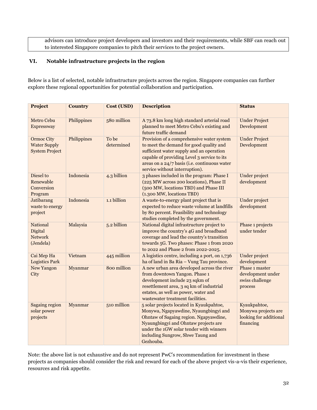advisors can introduce project developers and investors and their requirements, while SBF can reach out to interested Singapore companies to pitch their services to the project owners.

# **VI. Notable infrastructure projects in the region**

Below is a list of selected, notable infrastructure projects across the region. Singapore companies can further explore these regional opportunities for potential collaboration and participation.

| Project                                                           | <b>Country</b> | Cost (USD)          | <b>Description</b>                                                                                                                                                                                                                                                | <b>Status</b>                                                              |
|-------------------------------------------------------------------|----------------|---------------------|-------------------------------------------------------------------------------------------------------------------------------------------------------------------------------------------------------------------------------------------------------------------|----------------------------------------------------------------------------|
| Metro Cebu<br>Expressway                                          | Philippines    | 580 million         | A 73.8 km long high standard arterial road<br>planned to meet Metro Cebu's existing and<br>future traffic demand                                                                                                                                                  | <b>Under Project</b><br>Development                                        |
| <b>Ormoc City</b><br><b>Water Supply</b><br><b>System Project</b> | Philippines    | To be<br>determined | Provision of a comprehensive water system<br>to meet the demand for good quality and<br>sufficient water supply and an operation<br>capable of providing Level 3 service to its<br>areas on a 24/7 basis (i.e. continuous water<br>service without interruption). | <b>Under Project</b><br>Development                                        |
| Diesel to<br>Renewable<br>Conversion<br>Program                   | Indonesia      | 4.3 billion         | 3 phases included in the program: Phase I<br>(225 MW across 200 locations), Phase II<br>(500 MW, locations TBD) and Phase III<br>(1.300 MW, locations TBD)                                                                                                        | Under project<br>development                                               |
| <b>Jatibarang</b><br>waste to energy<br>project                   | Indonesia      | 1.1 billion         | A waste-to-energy plant project that is<br>expected to reduce waste volume at landfills<br>by 80 percent. Feasibility and technology<br>studies completed by the government.                                                                                      | <b>Under project</b><br>development                                        |
| National<br>Digital<br><b>Network</b><br>(Jendela)                | Malaysia       | 5.2 billion         | National digital infrastructure project to<br>improve the country's 4G and broadband<br>coverage and lead the country's transition<br>towards 5G. Two phases: Phase 1 from 2020<br>to 2022 and Phase 2 from 2022-2025.                                            | Phase 1 projects<br>under tender                                           |
| Cai Mep Ha<br><b>Logistics Park</b>                               | Vietnam        | 445 million         | A logistics centre, including a port, on 1,736<br>ha of land in Ba Ria - Vung Tau province.                                                                                                                                                                       | <b>Under project</b><br>development                                        |
| <b>New Yangon</b><br>City                                         | Myanmar        | 800 million         | A new urban area developed across the river<br>from downtown Yangon. Phase 1<br>development include 23 sqkm of<br>resettlement area, 3 sq km of industrial<br>estates, as well as power, water and<br>wastewater treatment facilities.                            | Phase 1 master<br>development under<br>swiss challenge<br>process          |
| Sagaing region<br>solar power<br>projects                         | Myanmar        | 510 million         | 5 solar projects located in Kyaukpahtoe,<br>Monywa, Ngapyawdine, Nyaungbingyi and<br>Ohntaw of Sagaing region. Ngapyawdine,<br>Nyaungbingyi and Ohntaw projects are<br>under the 1GW solar tender with winners<br>including Sungrow, Shwe Taung and<br>Gezhouba.  | Kyaukpahtoe,<br>Monywa projects are<br>looking for additional<br>financing |

Note: the above list is not exhaustive and do not represent PwC's recommendation for investment in these projects as companies should consider the risk and reward for each of the above project vis-a-vis their experience, resources and risk appetite.